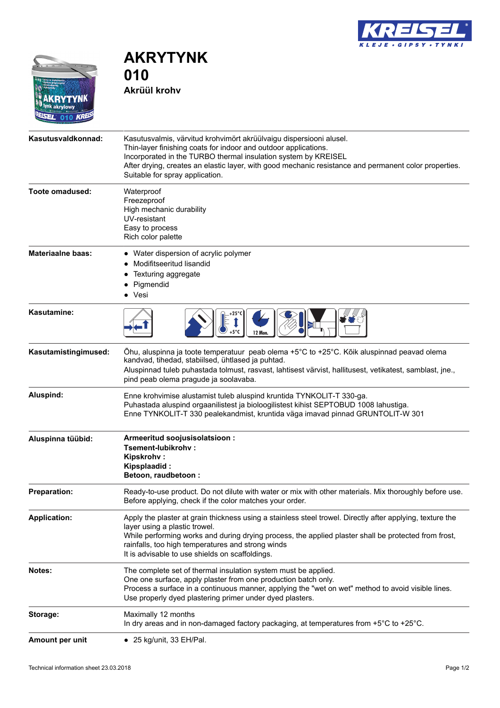



**AKRYTYNK 010 Akrüül krohv**

| Kasutusvaldkonnad:       | Kasutusvalmis, värvitud krohvimört akrüülvaigu dispersiooni alusel.<br>Thin-layer finishing coats for indoor and outdoor applications.<br>Incorporated in the TURBO thermal insulation system by KREISEL<br>After drying, creates an elastic layer, with good mechanic resistance and permanent color properties.<br>Suitable for spray application.       |
|--------------------------|------------------------------------------------------------------------------------------------------------------------------------------------------------------------------------------------------------------------------------------------------------------------------------------------------------------------------------------------------------|
| Toote omadused:          | Waterproof<br>Freezeproof<br>High mechanic durability<br>UV-resistant<br>Easy to process<br>Rich color palette                                                                                                                                                                                                                                             |
| <b>Materiaalne baas:</b> | • Water dispersion of acrylic polymer<br>Modifitseeritud lisandid<br>Texturing aggregate<br>Pigmendid<br>• Vesi                                                                                                                                                                                                                                            |
| Kasutamine:              | 12 Mon.                                                                                                                                                                                                                                                                                                                                                    |
| Kasutamistingimused:     | Õhu, aluspinna ja toote temperatuur peab olema +5°C to +25°C. Kõik aluspinnad peavad olema<br>kandvad, tihedad, stabiilsed, ühtlased ja puhtad.<br>Aluspinnad tuleb puhastada tolmust, rasvast, lahtisest värvist, hallitusest, vetikatest, samblast, jne.,<br>pind peab olema pragude ja soolavaba.                                                       |
| Aluspind:                | Enne krohvimise alustamist tuleb aluspind kruntida TYNKOLIT-T 330-ga.<br>Puhastada aluspind orgaanilistest ja bioloogilistest kihist SEPTOBUD 1008 lahustiga.<br>Enne TYNKOLIT-T 330 pealekandmist, kruntida väga imavad pinnad GRUNTOLIT-W 301                                                                                                            |
| Aluspinna tüübid:        | Armeeritud soojusisolatsioon:<br>Tsement-lubikrohy:<br><b>Kipskrohv:</b><br>Kipsplaadid:<br>Betoon, raudbetoon:                                                                                                                                                                                                                                            |
| 1<br>÷                   | Ready-to-use product. Do not dilute with water or mix with other materials. Mix thoroughly before use.<br>Before applying, check if the color matches your order.                                                                                                                                                                                          |
| <b>Application:</b>      | Apply the plaster at grain thickness using a stainless steel trowel. Directly after applying, texture the<br>layer using a plastic trowel.<br>While performing works and during drying process, the applied plaster shall be protected from frost,<br>rainfalls, too high temperatures and strong winds<br>It is advisable to use shields on scaffoldings. |
| Notes:                   | The complete set of thermal insulation system must be applied.<br>One one surface, apply plaster from one production batch only.<br>Process a surface in a continuous manner, applying the "wet on wet" method to avoid visible lines.<br>Use properly dyed plastering primer under dyed plasters.                                                         |
| Storage:                 | Maximally 12 months<br>In dry areas and in non-damaged factory packaging, at temperatures from +5°C to +25°C.                                                                                                                                                                                                                                              |
| Amount per unit          | $\bullet$ 25 kg/<br>, 33 EH/<br>Pal.                                                                                                                                                                                                                                                                                                                       |